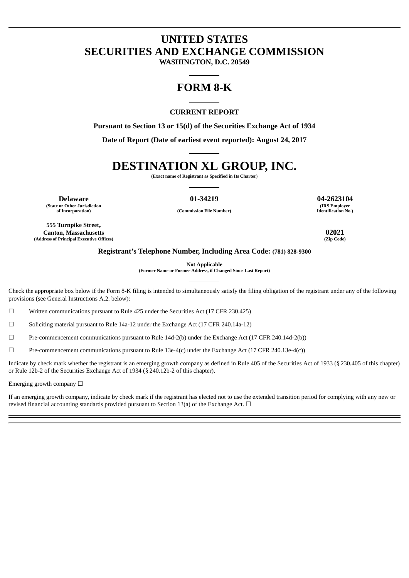# **UNITED STATES SECURITIES AND EXCHANGE COMMISSION**

**WASHINGTON, D.C. 20549**

## **FORM 8-K**

## **CURRENT REPORT**

**Pursuant to Section 13 or 15(d) of the Securities Exchange Act of 1934**

**Date of Report (Date of earliest event reported): August 24, 2017**

# **DESTINATION XL GROUP, INC.**

**(Exact name of Registrant as Specified in Its Charter)**

**Delaware 01-34219 04-2623104 (State or Other Jurisdiction of Incorporation) (Commission File Number)**

**(IRS Employer Identification No.)**

**555 Turnpike Street, Canton, Massachusetts 02021 (Address of Principal Executive Offices)** 

## **Registrant's Telephone Number, Including Area Code: (781) 828-9300**

**Not Applicable**

**(Former Name or Former Address, if Changed Since Last Report)**

Check the appropriate box below if the Form 8-K filing is intended to simultaneously satisfy the filing obligation of the registrant under any of the following provisions (see General Instructions A.2. below):

☐ Written communications pursuant to Rule 425 under the Securities Act (17 CFR 230.425)

 $\Box$  Soliciting material pursuant to Rule 14a-12 under the Exchange Act (17 CFR 240.14a-12)

☐ Pre-commencement communications pursuant to Rule 14d-2(b) under the Exchange Act (17 CFR 240.14d-2(b))

 $\Box$  Pre-commencement communications pursuant to Rule 13e-4(c) under the Exchange Act (17 CFR 240.13e-4(c))

Indicate by check mark whether the registrant is an emerging growth company as defined in Rule 405 of the Securities Act of 1933 (§ 230.405 of this chapter) or Rule 12b-2 of the Securities Exchange Act of 1934 (§ 240.12b-2 of this chapter).

Emerging growth company  $\Box$ 

If an emerging growth company, indicate by check mark if the registrant has elected not to use the extended transition period for complying with any new or revised financial accounting standards provided pursuant to Section 13(a) of the Exchange Act.  $\Box$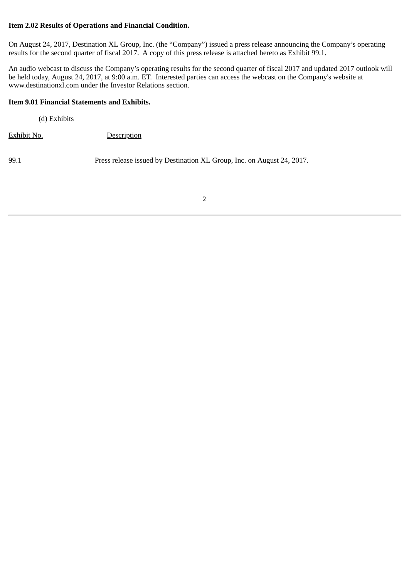## **Item 2.02 Results of Operations and Financial Condition.**

On August 24, 2017, Destination XL Group, Inc. (the "Company") issued a press release announcing the Company's operating results for the second quarter of fiscal 2017. A copy of this press release is attached hereto as Exhibit 99.1.

An audio webcast to discuss the Company's operating results for the second quarter of fiscal 2017 and updated 2017 outlook will be held today, August 24, 2017, at 9:00 a.m. ET. Interested parties can access the webcast on the Company's website at www.destinationxl.com under the Investor Relations section.

## **Item 9.01 Financial Statements and Exhibits.**

(d) Exhibits

Exhibit No. Description

99.1 Press release issued by Destination XL Group, Inc. on August 24, 2017.

2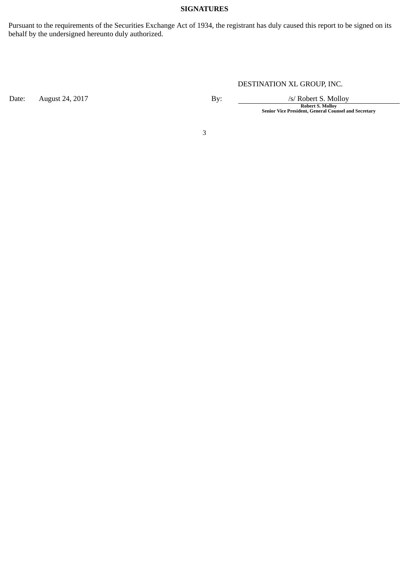## **SIGNATURES**

Pursuant to the requirements of the Securities Exchange Act of 1934, the registrant has duly caused this report to be signed on its behalf by the undersigned hereunto duly authorized.

Date: August 24, 2017 **By:** By: */s/ Robert S. Molloy* 

DESTINATION XL GROUP, INC.

**Robert S. Molloy Senior Vice President, General Counsel and Secretary**

3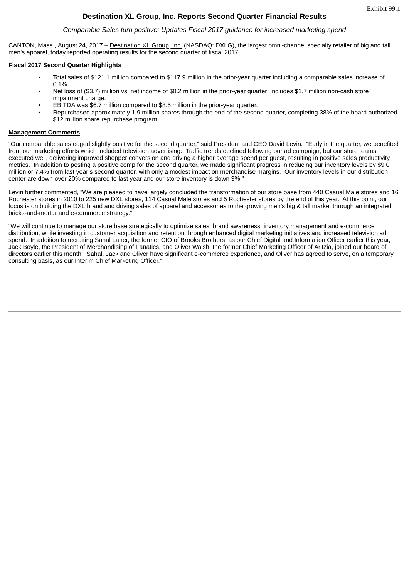## **Destination XL Group, Inc. Reports Second Quarter Financial Results**

#### *Comparable Sales turn positive; Updates Fiscal 2017 guidance for increased marketing spend*

CANTON, Mass., August 24, 2017 – Destination XL Group, Inc. (NASDAQ: DXLG), the largest omni-channel specialty retailer of big and tall men's apparel, today reported operating results for the second quarter of fiscal 2017.

#### **Fiscal 2017 Second Quarter Highlights**

- Total sales of \$121.1 million compared to \$117.9 million in the prior-year quarter including a comparable sales increase of 0.1%.
- Net loss of (\$3.7) million vs. net income of \$0.2 million in the prior-year quarter; includes \$1.7 million non-cash store impairment charge.
- EBITDA was \$6.7 million compared to \$8.5 million in the prior-year quarter.
- Repurchased approximately 1.9 million shares through the end of the second quarter, completing 38% of the board authorized \$12 million share repurchase program.

#### **Management Comments**

"Our comparable sales edged slightly positive for the second quarter," said President and CEO David Levin. "Early in the quarter, we benefited from our marketing efforts which included television advertising. Traffic trends declined following our ad campaign, but our store teams executed well, delivering improved shopper conversion and driving a higher average spend per guest, resulting in positive sales productivity metrics. In addition to posting a positive comp for the second quarter, we made significant progress in reducing our inventory levels by \$9.0 million or 7.4% from last year's second quarter, with only a modest impact on merchandise margins. Our inventory levels in our distribution center are down over 20% compared to last year and our store inventory is down 3%."

Levin further commented, "We are pleased to have largely concluded the transformation of our store base from 440 Casual Male stores and 16 Rochester stores in 2010 to 225 new DXL stores, 114 Casual Male stores and 5 Rochester stores by the end of this year. At this point, our focus is on building the DXL brand and driving sales of apparel and accessories to the growing men's big & tall market through an integrated bricks-and-mortar and e-commerce strategy."

"We will continue to manage our store base strategically to optimize sales, brand awareness, inventory management and e-commerce distribution, while investing in customer acquisition and retention through enhanced digital marketing initiatives and increased television ad spend. In addition to recruiting Sahal Laher, the former CIO of Brooks Brothers, as our Chief Digital and Information Officer earlier this year, Jack Boyle, the President of Merchandising of Fanatics, and Oliver Walsh, the former Chief Marketing Officer of Aritzia, joined our board of directors earlier this month. Sahal, Jack and Oliver have significant e-commerce experience, and Oliver has agreed to serve, on a temporary consulting basis, as our Interim Chief Marketing Officer."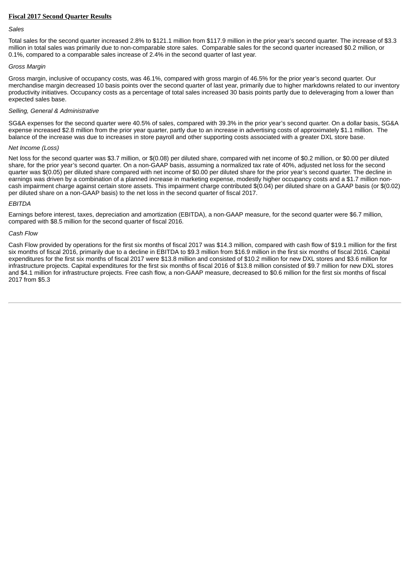#### **Fiscal 2017 Second Quarter Results**

#### *Sales*

Total sales for the second quarter increased 2.8% to \$121.1 million from \$117.9 million in the prior year's second quarter. The increase of \$3.3 million in total sales was primarily due to non-comparable store sales. Comparable sales for the second quarter increased \$0.2 million, or 0.1%, compared to a comparable sales increase of 2.4% in the second quarter of last year.

#### *Gross Margin*

Gross margin, inclusive of occupancy costs, was 46.1%, compared with gross margin of 46.5% for the prior year's second quarter. Our merchandise margin decreased 10 basis points over the second quarter of last year, primarily due to higher markdowns related to our inventory productivity initiatives. Occupancy costs as a percentage of total sales increased 30 basis points partly due to deleveraging from a lower than expected sales base.

#### *Selling, General & Administrative*

SG&A expenses for the second quarter were 40.5% of sales, compared with 39.3% in the prior year's second quarter. On a dollar basis, SG&A expense increased \$2.8 million from the prior year quarter, partly due to an increase in advertising costs of approximately \$1.1 million. The balance of the increase was due to increases in store payroll and other supporting costs associated with a greater DXL store base.

#### *Net Income (Loss)*

Net loss for the second quarter was \$3.7 million, or \$(0.08) per diluted share, compared with net income of \$0.2 million, or \$0.00 per diluted share, for the prior year's second quarter. On a non-GAAP basis, assuming a normalized tax rate of 40%, adjusted net loss for the second quarter was \$(0.05) per diluted share compared with net income of \$0.00 per diluted share for the prior year's second quarter. The decline in earnings was driven by a combination of a planned increase in marketing expense, modestly higher occupancy costs and a \$1.7 million noncash impairment charge against certain store assets. This impairment charge contributed \$(0.04) per diluted share on a GAAP basis (or \$(0.02) per diluted share on a non-GAAP basis) to the net loss in the second quarter of fiscal 2017.

#### *EBITDA*

Earnings before interest, taxes, depreciation and amortization (EBITDA), a non-GAAP measure, for the second quarter were \$6.7 million, compared with \$8.5 million for the second quarter of fiscal 2016.

#### *Cash Flow*

Cash Flow provided by operations for the first six months of fiscal 2017 was \$14.3 million, compared with cash flow of \$19.1 million for the first six months of fiscal 2016, primarily due to a decline in EBITDA to \$9.3 million from \$16.9 million in the first six months of fiscal 2016. Capital expenditures for the first six months of fiscal 2017 were \$13.8 million and consisted of \$10.2 million for new DXL stores and \$3.6 million for infrastructure projects. Capital expenditures for the first six months of fiscal 2016 of \$13.8 million consisted of \$9.7 million for new DXL stores and \$4.1 million for infrastructure projects. Free cash flow, a non-GAAP measure, decreased to \$0.6 million for the first six months of fiscal 2017 from \$5.3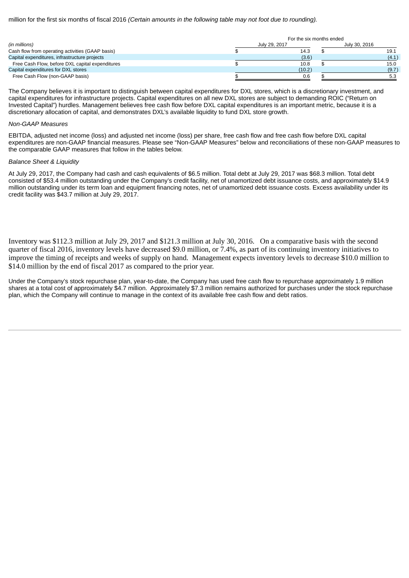million for the first six months of fiscal 2016 *(Certain amounts in the following table may not foot due to rounding).*

|                                                  | For the six months ended |        |  |               |  |  |  |  |
|--------------------------------------------------|--------------------------|--------|--|---------------|--|--|--|--|
| (in millions)                                    | July 29, 2017            |        |  | July 30, 2016 |  |  |  |  |
| Cash flow from operating activities (GAAP basis) |                          | 14.3   |  | 19.1          |  |  |  |  |
| Capital expenditures, infrastructure projects    |                          | (3.6)  |  | (4.1)         |  |  |  |  |
| Free Cash Flow, before DXL capital expenditures  |                          | 10.8   |  | 15.0          |  |  |  |  |
| Capital expenditures for DXL stores              |                          | (10.2) |  | (9.7)         |  |  |  |  |
| Free Cash Flow (non-GAAP basis)                  |                          | 0.6    |  | 5.3           |  |  |  |  |

The Company believes it is important to distinguish between capital expenditures for DXL stores, which is a discretionary investment, and capital expenditures for infrastructure projects. Capital expenditures on all new DXL stores are subject to demanding ROIC ("Return on Invested Capital") hurdles. Management believes free cash flow before DXL capital expenditures is an important metric, because it is a discretionary allocation of capital, and demonstrates DXL's available liquidity to fund DXL store growth.

#### *Non-GAAP Measures*

EBITDA, adjusted net income (loss) and adjusted net income (loss) per share, free cash flow and free cash flow before DXL capital expenditures are non-GAAP financial measures. Please see "Non-GAAP Measures" below and reconciliations of these non-GAAP measures to the comparable GAAP measures that follow in the tables below.

#### *Balance Sheet & Liquidity*

At July 29, 2017, the Company had cash and cash equivalents of \$6.5 million. Total debt at July 29, 2017 was \$68.3 million. Total debt consisted of \$53.4 million outstanding under the Company's credit facility, net of unamortized debt issuance costs, and approximately \$14.9 million outstanding under its term loan and equipment financing notes, net of unamortized debt issuance costs. Excess availability under its credit facility was \$43.7 million at July 29, 2017.

Inventory was \$112.3 million at July 29, 2017 and \$121.3 million at July 30, 2016. On a comparative basis with the second quarter of fiscal 2016, inventory levels have decreased \$9.0 million, or 7.4%, as part of its continuing inventory initiatives to improve the timing of receipts and weeks of supply on hand. Management expects inventory levels to decrease \$10.0 million to \$14.0 million by the end of fiscal 2017 as compared to the prior year.

Under the Company's stock repurchase plan, year-to-date, the Company has used free cash flow to repurchase approximately 1.9 million shares at a total cost of approximately \$4.7 million. Approximately \$7.3 million remains authorized for purchases under the stock repurchase plan, which the Company will continue to manage in the context of its available free cash flow and debt ratios.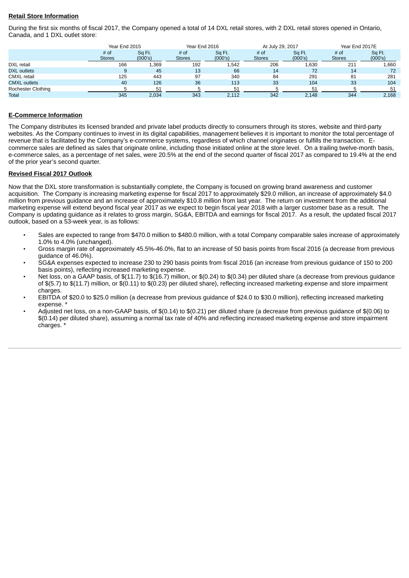### **Retail Store Information**

During the first six months of fiscal 2017, the Company opened a total of 14 DXL retail stores, with 2 DXL retail stores opened in Ontario, Canada, and 1 DXL outlet store:

|                     | Year End 2015 |         | Year End 2016 |         | At July 29, 2017 |         | Year End 2017E |         |  |  |
|---------------------|---------------|---------|---------------|---------|------------------|---------|----------------|---------|--|--|
|                     | # of          | Sq Ft.  | # of          | Sq Ft.  | # of             | Sq Ft.  | $#$ of         | Sq Ft.  |  |  |
|                     | <b>Stores</b> | (000's) | <b>Stores</b> | (000's) | <b>Stores</b>    | (000's) | <b>Stores</b>  | (000's) |  |  |
| DXL retail          | 166           | 1,369   | 192           | 1,542   | 206              | 1,630   | 211            | 1,660   |  |  |
| <b>DXL</b> outlets  | 9             | 45      | 13            | 66      | 14               | 72      | 14             | 72      |  |  |
| <b>CMXL</b> retail  | 125           | 443     | 97            | 340     | 84               | 291     | 81             | 281     |  |  |
| <b>CMXL outlets</b> | 40            | 126     | 36            | 113     | 33               | 104     | 33             | 104     |  |  |
| Rochester Clothing  |               | 51      |               | 51      |                  | 51      |                | 51      |  |  |
| Total               | 345           | 2,034   | 343           | 2.112   | 342              | 2.148   | 344            | 2,168   |  |  |

#### **E-Commerce Information**

The Company distributes its licensed branded and private label products directly to consumers through its stores, website and third-party websites. As the Company continues to invest in its digital capabilities, management believes it is important to monitor the total percentage of revenue that is facilitated by the Company's e-commerce systems, regardless of which channel originates or fulfills the transaction. Ecommerce sales are defined as sales that originate online, including those initiated online at the store level. On a trailing twelve-month basis, e-commerce sales, as a percentage of net sales, were 20.5% at the end of the second quarter of fiscal 2017 as compared to 19.4% at the end of the prior year's second quarter.

#### **Revised Fiscal 2017 Outlook**

Now that the DXL store transformation is substantially complete, the Company is focused on growing brand awareness and customer acquisition. The Company is increasing marketing expense for fiscal 2017 to approximately \$29.0 million, an increase of approximately \$4.0 million from previous guidance and an increase of approximately \$10.8 million from last year. The return on investment from the additional marketing expense will extend beyond fiscal year 2017 as we expect to begin fiscal year 2018 with a larger customer base as a result. The Company is updating guidance as it relates to gross margin, SG&A, EBITDA and earnings for fiscal 2017. As a result, the updated fiscal 2017 outlook, based on a 53-week year, is as follows:

- Sales are expected to range from \$470.0 million to \$480.0 million, with a total Company comparable sales increase of approximately 1.0% to 4.0% (unchanged).
- Gross margin rate of approximately 45.5%-46.0%, flat to an increase of 50 basis points from fiscal 2016 (a decrease from previous guidance of 46.0%).
- SG&A expenses expected to increase 230 to 290 basis points from fiscal 2016 (an increase from previous guidance of 150 to 200 basis points), reflecting increased marketing expense.
- Net loss, on a GAAP basis, of  $(11.7)$  to  $(16.7)$  million, or  $(0.24)$  to  $(0.34)$  per diluted share (a decrease from previous guidance of \$(5.7) to \$(11.7) million, or \$(0.11) to \$(0.23) per diluted share), reflecting increased marketing expense and store impairment charges.
- EBITDA of \$20.0 to \$25.0 million (a decrease from previous guidance of \$24.0 to \$30.0 million), reflecting increased marketing expense. \*
- Adjusted net loss, on a non-GAAP basis, of \$(0.14) to \$(0.21) per diluted share (a decrease from previous guidance of \$(0.06) to \$(0.14) per diluted share), assuming a normal tax rate of 40% and reflecting increased marketing expense and store impairment charges. \*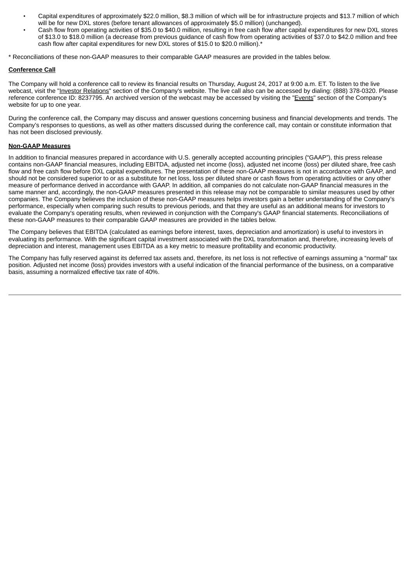- Capital expenditures of approximately \$22.0 million, \$8.3 million of which will be for infrastructure projects and \$13.7 million of which will be for new DXL stores (before tenant allowances of approximately \$5.0 million) (unchanged).
- Cash flow from operating activities of \$35.0 to \$40.0 million, resulting in free cash flow after capital expenditures for new DXL stores of \$13.0 to \$18.0 million (a decrease from previous guidance of cash flow from operating activities of \$37.0 to \$42.0 million and free cash flow after capital expenditures for new DXL stores of \$15.0 to \$20.0 million).\*

\* Reconciliations of these non-GAAP measures to their comparable GAAP measures are provided in the tables below.

#### **Conference Call**

The Company will hold a conference call to review its financial results on Thursday, August 24, 2017 at 9:00 a.m. ET. To listen to the live webcast, visit the "Investor Relations" section of the Company's website. The live call also can be accessed by dialing: (888) 378-0320. Please reference conference ID: 8237795. An archived version of the webcast may be accessed by visiting the "Events" section of the Company's website for up to one year.

During the conference call, the Company may discuss and answer questions concerning business and financial developments and trends. The Company's responses to questions, as well as other matters discussed during the conference call, may contain or constitute information that has not been disclosed previously.

#### **Non-GAAP Measures**

In addition to financial measures prepared in accordance with U.S. generally accepted accounting principles ("GAAP"), this press release contains non-GAAP financial measures, including EBITDA, adjusted net income (loss), adjusted net income (loss) per diluted share, free cash flow and free cash flow before DXL capital expenditures. The presentation of these non-GAAP measures is not in accordance with GAAP, and should not be considered superior to or as a substitute for net loss, loss per diluted share or cash flows from operating activities or any other measure of performance derived in accordance with GAAP. In addition, all companies do not calculate non-GAAP financial measures in the same manner and, accordingly, the non-GAAP measures presented in this release may not be comparable to similar measures used by other companies. The Company believes the inclusion of these non-GAAP measures helps investors gain a better understanding of the Company's performance, especially when comparing such results to previous periods, and that they are useful as an additional means for investors to evaluate the Company's operating results, when reviewed in conjunction with the Company's GAAP financial statements. Reconciliations of these non-GAAP measures to their comparable GAAP measures are provided in the tables below.

The Company believes that EBITDA (calculated as earnings before interest, taxes, depreciation and amortization) is useful to investors in evaluating its performance. With the significant capital investment associated with the DXL transformation and, therefore, increasing levels of depreciation and interest, management uses EBITDA as a key metric to measure profitability and economic productivity.

The Company has fully reserved against its deferred tax assets and, therefore, its net loss is not reflective of earnings assuming a "normal" tax position. Adjusted net income (loss) provides investors with a useful indication of the financial performance of the business, on a comparative basis, assuming a normalized effective tax rate of 40%.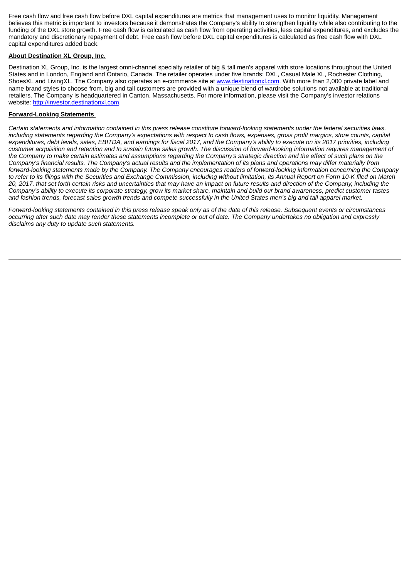Free cash flow and free cash flow before DXL capital expenditures are metrics that management uses to monitor liquidity. Management believes this metric is important to investors because it demonstrates the Company's ability to strengthen liquidity while also contributing to the funding of the DXL store growth. Free cash flow is calculated as cash flow from operating activities, less capital expenditures, and excludes the mandatory and discretionary repayment of debt. Free cash flow before DXL capital expenditures is calculated as free cash flow with DXL capital expenditures added back.

#### **About Destination XL Group, Inc.**

Destination XL Group, Inc. is the largest omni-channel specialty retailer of big & tall men's apparel with store locations throughout the United States and in London, England and Ontario, Canada. The retailer operates under five brands: DXL, Casual Male XL, Rochester Clothing, ShoesXL and LivingXL. The Company also operates an e-commerce site at www.destinationxl.com. With more than 2,000 private label and name brand styles to choose from, big and tall customers are provided with a unique blend of wardrobe solutions not available at traditional retailers. The Company is headquartered in Canton, Massachusetts. For more information, please visit the Company's investor relations website: http://investor.destinationxl.com.

#### **Forward-Looking Statements**

Certain statements and information contained in this press release constitute forward-looking statements under the federal securities laws, including statements regarding the Company's expectations with respect to cash flows, expenses, gross profit margins, store counts, capital expenditures, debt levels, sales, EBITDA, and earnings for fiscal 2017, and the Company's ability to execute on its 2017 priorities, including customer acquisition and retention and to sustain future sales growth. The discussion of forward-looking information requires management of the Company to make certain estimates and assumptions regarding the Company's strategic direction and the effect of such plans on the Company's financial results. The Company's actual results and the implementation of its plans and operations may differ materially from forward-looking statements made by the Company. The Company encourages readers of forward-looking information concerning the Company to refer to its filings with the Securities and Exchange Commission, including without limitation, its Annual Report on Form 10-K filed on March 20, 2017, that set forth certain risks and uncertainties that may have an impact on future results and direction of the Company, including the Company's ability to execute its corporate strategy, grow its market share, maintain and build our brand awareness, predict customer tastes and fashion trends, forecast sales growth trends and compete successfully in the United States men's big and tall apparel market.

Forward-looking statements contained in this press release speak only as of the date of this release. Subsequent events or circumstances occurring after such date may render these statements incomplete or out of date. The Company undertakes no obligation and expressly *disclaims any duty to update such statements.*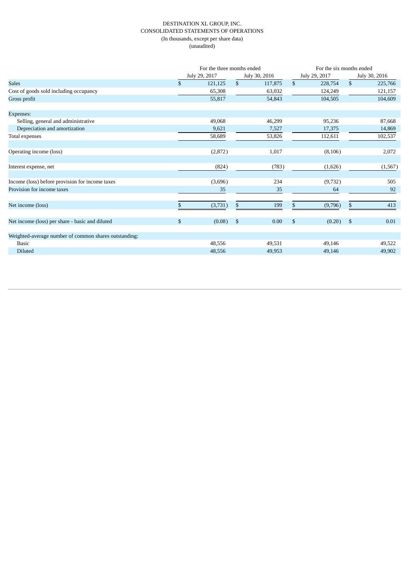#### DESTINATION XL GROUP, INC. CONSOLIDATED STATEMENTS OF OPERATIONS (In thousands, except per share data) (unaudited)

|                                                       |              | For the three months ended |              |               |              | For the six months ended |              |               |  |  |  |
|-------------------------------------------------------|--------------|----------------------------|--------------|---------------|--------------|--------------------------|--------------|---------------|--|--|--|
|                                                       |              | July 29, 2017              |              | July 30, 2016 |              | July 29, 2017            |              | July 30, 2016 |  |  |  |
| <b>Sales</b>                                          | $\mathbb{S}$ | 121,125                    | $\mathbb{S}$ | 117,875       | $\mathbb{S}$ | 228,754                  | $\mathbb{S}$ | 225,766       |  |  |  |
| Cost of goods sold including occupancy                |              | 65,308                     |              | 63,032        |              | 124,249                  |              | 121,157       |  |  |  |
| Gross profit                                          |              | 55,817                     |              | 54,843        |              | 104,505                  |              | 104,609       |  |  |  |
| Expenses:                                             |              |                            |              |               |              |                          |              |               |  |  |  |
| Selling, general and administrative                   |              | 49,068                     |              | 46,299        |              | 95,236                   |              | 87,668        |  |  |  |
| Depreciation and amortization                         |              | 9,621                      |              | 7,527         |              | 17,375                   |              | 14,869        |  |  |  |
| Total expenses                                        |              | 58,689                     |              | 53,826        |              | 112,611                  |              | 102,537       |  |  |  |
| Operating income (loss)                               |              | (2,872)                    |              | 1,017         |              | (8, 106)                 |              | 2,072         |  |  |  |
| Interest expense, net                                 |              | (824)                      |              | (783)         |              | (1,626)                  |              | (1, 567)      |  |  |  |
| Income (loss) before provision for income taxes       |              | (3,696)                    |              | 234           |              | (9,732)                  |              | 505           |  |  |  |
| Provision for income taxes                            |              | 35                         |              | 35            |              | 64                       |              | 92            |  |  |  |
| Net income (loss)                                     | S.           | (3,731)                    | \$           | 199           | \$           | (9,796)                  | \$           | 413           |  |  |  |
| Net income (loss) per share - basic and diluted       | \$           | (0.08)                     | $\sqrt{5}$   | 0.00          | \$           | (0.20)                   | \$           | 0.01          |  |  |  |
| Weighted-average number of common shares outstanding: |              |                            |              |               |              |                          |              |               |  |  |  |
| <b>Basic</b>                                          |              | 48,556                     |              | 49,531        |              | 49,146                   |              | 49,522        |  |  |  |
| Diluted                                               |              | 48,556                     |              | 49,953        |              | 49,146                   |              | 49,902        |  |  |  |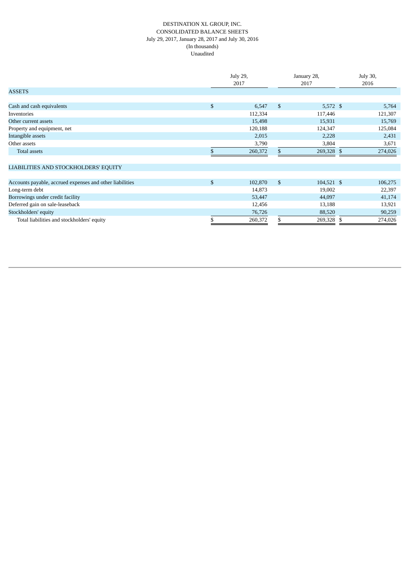#### DESTINATION XL GROUP, INC. CONSOLIDATED BALANCE SHEETS July 29, 2017, January 28, 2017 and July 30, 2016 (In thousands) Unaudited

|                                                          | July 29,<br>2017 |         | January 28,<br>2017 |            | July 30,<br>2016 |
|----------------------------------------------------------|------------------|---------|---------------------|------------|------------------|
| <b>ASSETS</b>                                            |                  |         |                     |            |                  |
|                                                          |                  |         |                     |            |                  |
| Cash and cash equivalents                                | \$               | 6,547   | \$                  | $5,572$ \$ | 5,764            |
| Inventories                                              |                  | 112,334 |                     | 117,446    | 121,307          |
| Other current assets                                     |                  | 15,498  |                     | 15,931     | 15,769           |
| Property and equipment, net                              |                  | 120,188 |                     | 124,347    | 125,084          |
| Intangible assets                                        |                  | 2,015   |                     | 2,228      | 2,431            |
| Other assets                                             |                  | 3,790   |                     | 3,804      | 3,671            |
| Total assets                                             |                  | 260,372 | \$                  | 269,328 \$ | 274,026          |
| LIABILITIES AND STOCKHOLDERS' EQUITY                     |                  |         |                     |            |                  |
|                                                          |                  |         |                     |            |                  |
| Accounts payable, accrued expenses and other liabilities | \$               | 102,870 | $\mathbb{S}$        | 104,521 \$ | 106,275          |
| Long-term debt                                           |                  | 14,873  |                     | 19,002     | 22,397           |
| Borrowings under credit facility                         |                  | 53,447  |                     | 44,097     | 41,174           |
| Deferred gain on sale-leaseback                          |                  | 12,456  |                     | 13,188     | 13,921           |
| Stockholders' equity                                     |                  | 76,726  |                     | 88,520     | 90,259           |
| Total liabilities and stockholders' equity               |                  | 260,372 |                     | 269,328 \$ | 274,026          |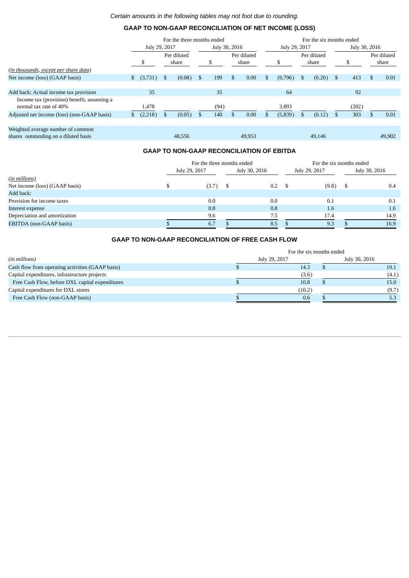## **GAAP TO NON-GAAP RECONCILIATION OF NET INCOME (LOSS)**

|                                                                            | For the three months ended |         |     |                      |     | For the six months ended |               |                      |    |         |               |                      |      |       |    |                      |
|----------------------------------------------------------------------------|----------------------------|---------|-----|----------------------|-----|--------------------------|---------------|----------------------|----|---------|---------------|----------------------|------|-------|----|----------------------|
|                                                                            | July 29, 2017              |         |     | July 30, 2016        |     |                          | July 29, 2017 |                      |    |         | July 30, 2016 |                      |      |       |    |                      |
|                                                                            |                            |         |     | Per diluted<br>share |     | \$                       |               | Per diluted<br>share |    |         |               | Per diluted<br>share |      |       |    | Per diluted<br>share |
| (in thousands, except per share data)                                      |                            |         |     |                      |     |                          |               |                      |    |         |               |                      |      |       |    |                      |
| Net income (loss) (GAAP basis)                                             | \$                         | (3,731) | \$  | $(0.08)$ \$          |     | 199                      | \$            | 0.00                 | \$ | (9,796) | S.            | (0.20)               | - \$ | 413   | £. | 0.01                 |
|                                                                            |                            |         |     |                      |     |                          |               |                      |    |         |               |                      |      |       |    |                      |
| Add back: Actual income tax provision                                      |                            | 35      |     |                      |     | 35                       |               |                      |    | 64      |               |                      |      | 92    |    |                      |
| Income tax (provision) benefit, assuming a<br>normal tax rate of 40%       |                            | 1,478   |     |                      |     | (94)                     |               |                      |    | 3,893   |               |                      |      | (202) |    |                      |
| Adjusted net income (loss) (non-GAAP basis)                                | \$                         | (2,218) | \$. | (0.05)               | -\$ | 140                      |               | 0.00                 | S. | (5,839) | \$.           | (0.12)               | - \$ | 303   |    | 0.01                 |
|                                                                            |                            |         |     |                      |     |                          |               |                      |    |         |               |                      |      |       |    |                      |
| Weighted average number of common<br>shares outstanding on a diluted basis |                            |         |     | 48,556               |     |                          |               | 49.953               |    |         |               | 49.146               |      |       |    | 49.902               |

## **GAAP TO NON-GAAP RECONCILIATION OF EBITDA**

|                                |  | For the three months ended | For the six months ended |               |  |               |  |               |
|--------------------------------|--|----------------------------|--------------------------|---------------|--|---------------|--|---------------|
|                                |  | July 29, 2017              |                          | July 30, 2016 |  | July 29, 2017 |  | July 30, 2016 |
| (in millions)                  |  |                            |                          |               |  |               |  |               |
| Net income (loss) (GAAP basis) |  | (3.7)                      |                          | 0.2           |  | (9.8)         |  | 0.4           |
| Add back:                      |  |                            |                          |               |  |               |  |               |
| Provision for income taxes     |  | 0.0                        |                          | 0.0           |  | 0.1           |  | 0.1           |
| Interest expense               |  | 0.8                        |                          | 0.8           |  | 1.6           |  | 1.6           |
| Depreciation and amortization  |  | 9.6                        |                          | 7.5           |  | 17.4          |  | 14.9          |
| EBITDA (non-GAAP basis)        |  | 6.7                        |                          | 8.5           |  | 9.3           |  | 16.9          |

## **GAAP TO NON-GAAP RECONCILIATION OF FREE CASH FLOW**

|                                                  | For the six months ended |        |               |       |  |  |  |  |
|--------------------------------------------------|--------------------------|--------|---------------|-------|--|--|--|--|
| (in millions)                                    | July 29, 2017            |        | July 30, 2016 |       |  |  |  |  |
| Cash flow from operating activities (GAAP basis) |                          | 14.3   |               | 19.1  |  |  |  |  |
| Capital expenditures, infrastructure projects    |                          | (3.6)  |               | (4.1) |  |  |  |  |
| Free Cash Flow, before DXL capital expenditures  |                          | 10.8   | Ð             | 15.0  |  |  |  |  |
| Capital expenditures for DXL stores              |                          | (10.2) |               | (9.7) |  |  |  |  |
| Free Cash Flow (non-GAAP basis)                  |                          | 0.6    |               |       |  |  |  |  |